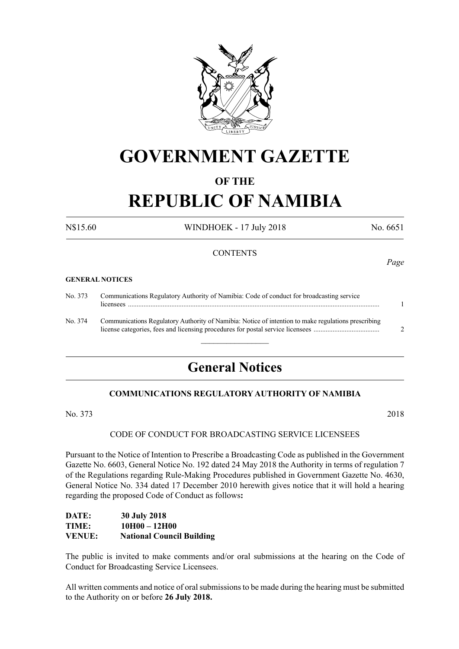

## **GOVERNMENT GAZETTE**

#### **OF THE**

# **REPUBLIC OF NAMIBIA**

N\$15.60 WINDHOEK - 17 July 2018 No. 6651

#### **CONTENTS**

#### **GENERAL NOTICES**

| No. 373 | Communications Regulatory Authority of Namibia: Code of conduct for broadcasting service            |  |
|---------|-----------------------------------------------------------------------------------------------------|--|
| No. 374 | Communications Regulatory Authority of Namibia: Notice of intention to make regulations prescribing |  |

 $\frac{1}{2}$ 

### **General Notices**

#### **COMMUNICATIONS REGULATORY AUTHORITY OF NAMIBIA**

No. 373 2018

#### CODE OF CONDUCT FOR BROADCASTING SERVICE LICENSEES

Pursuant to the Notice of Intention to Prescribe a Broadcasting Code as published in the Government Gazette No. 6603, General Notice No. 192 dated 24 May 2018 the Authority in terms of regulation 7 of the Regulations regarding Rule-Making Procedures published in Government Gazette No. 4630, General Notice No. 334 dated 17 December 2010 herewith gives notice that it will hold a hearing regarding the proposed Code of Conduct as follows**:**

#### **DATE: 30 July 2018 TIME: 10H00 – 12H00 VENUE: National Council Building**

The public is invited to make comments and/or oral submissions at the hearing on the Code of Conduct for Broadcasting Service Licensees.

All written comments and notice of oral submissions to be made during the hearing must be submitted to the Authority on or before **26 July 2018.**

*Page*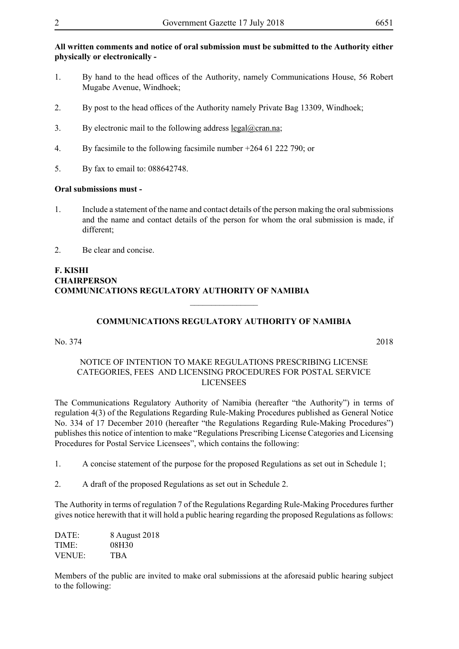#### **All written comments and notice of oral submission must be submitted to the Authority either physically or electronically -**

- 1. By hand to the head offices of the Authority, namely Communications House, 56 Robert Mugabe Avenue, Windhoek;
- 2. By post to the head offices of the Authority namely Private Bag 13309, Windhoek;
- 3. By electronic mail to the following address legal@cran.na;
- 4. By facsimile to the following facsimile number +264 61 222 790; or
- 5. By fax to email to: 088642748.

#### **Oral submissions must -**

- 1. Include a statement of the name and contact details of the person making the oral submissions and the name and contact details of the person for whom the oral submission is made, if different;
- 2. Be clear and concise.

#### **F. KISHI CHAIRPERSON COMMUNICATIONS REGULATORY AUTHORITY OF NAMIBIA**

#### **COMMUNICATIONS REGULATORY AUTHORITY OF NAMIBIA**

 $\overline{\phantom{a}}$  , where  $\overline{\phantom{a}}$ 

No. 374 2018

#### NOTICE OF INTENTION TO MAKE REGULATIONS PRESCRIBING LICENSE CATEGORIES, FEES AND LICENSING PROCEDURES FOR POSTAL SERVICE LICENSEES

The Communications Regulatory Authority of Namibia (hereafter "the Authority") in terms of regulation 4(3) of the Regulations Regarding Rule-Making Procedures published as General Notice No. 334 of 17 December 2010 (hereafter "the Regulations Regarding Rule-Making Procedures") publishes this notice of intention to make "Regulations Prescribing License Categories and Licensing Procedures for Postal Service Licensees", which contains the following:

- 1. A concise statement of the purpose for the proposed Regulations as set out in Schedule 1;
- 2. A draft of the proposed Regulations as set out in Schedule 2.

The Authority in terms of regulation 7 of the Regulations Regarding Rule-Making Procedures further gives notice herewith that it will hold a public hearing regarding the proposed Regulations as follows:

| DATE:         | 8 August 2018 |
|---------------|---------------|
| TIME:         | 08H30         |
| <b>VENUE:</b> | <b>TBA</b>    |

Members of the public are invited to make oral submissions at the aforesaid public hearing subject to the following: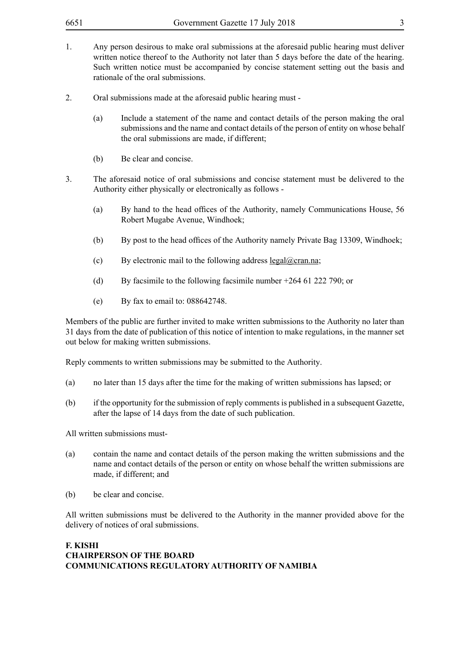- 1. Any person desirous to make oral submissions at the aforesaid public hearing must deliver written notice thereof to the Authority not later than 5 days before the date of the hearing. Such written notice must be accompanied by concise statement setting out the basis and rationale of the oral submissions.
- 2. Oral submissions made at the aforesaid public hearing must
	- (a) Include a statement of the name and contact details of the person making the oral submissions and the name and contact details of the person of entity on whose behalf the oral submissions are made, if different;
	- (b) Be clear and concise.
- 3. The aforesaid notice of oral submissions and concise statement must be delivered to the Authority either physically or electronically as follows -
	- (a) By hand to the head offices of the Authority, namely Communications House, 56 Robert Mugabe Avenue, Windhoek;
	- (b) By post to the head offices of the Authority namely Private Bag 13309, Windhoek;
	- (c) By electronic mail to the following address  $\text{legal@cran.na}$ ;
	- (d) By facsimile to the following facsimile number +264 61 222 790; or
	- (e) By fax to email to: 088642748.

Members of the public are further invited to make written submissions to the Authority no later than 31 days from the date of publication of this notice of intention to make regulations, in the manner set out below for making written submissions.

Reply comments to written submissions may be submitted to the Authority.

- (a) no later than 15 days after the time for the making of written submissions has lapsed; or
- (b) if the opportunity for the submission of reply comments is published in a subsequent Gazette, after the lapse of 14 days from the date of such publication.

All written submissions must-

- (a) contain the name and contact details of the person making the written submissions and the name and contact details of the person or entity on whose behalf the written submissions are made, if different; and
- (b) be clear and concise.

All written submissions must be delivered to the Authority in the manner provided above for the delivery of notices of oral submissions.

#### **F. KISHI CHAIRPERSON OF THE BOARD COMMUNICATIONS REGULATORY AUTHORITY OF NAMIBIA**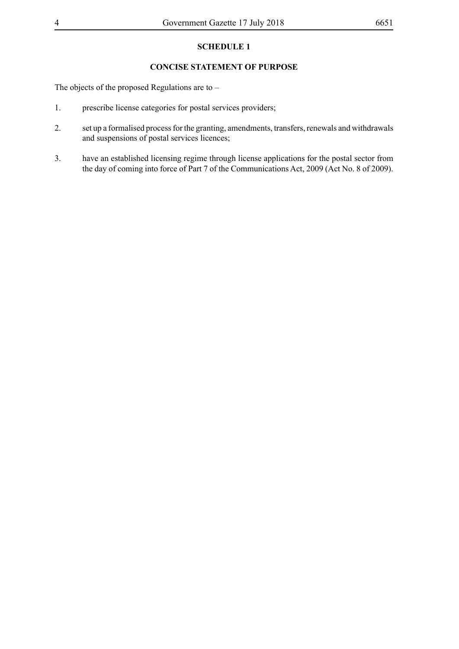#### **SCHEDULE 1**

#### **CONCISE STATEMENT OF PURPOSE**

The objects of the proposed Regulations are to –

- 1. prescribe license categories for postal services providers;
- 2. set up a formalised process for the granting, amendments, transfers, renewals and withdrawals and suspensions of postal services licences;
- 3. have an established licensing regime through license applications for the postal sector from the day of coming into force of Part 7 of the Communications Act, 2009 (Act No. 8 of 2009).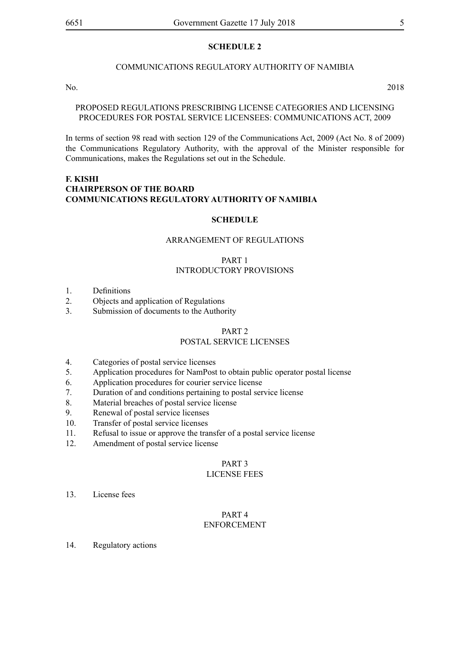#### **SCHEDULE 2**

#### COMMUNICATIONS REGULATORY AUTHORITY OF NAMIBIA

No. 2018

#### PROPOSED REGULATIONS PRESCRIBING LICENSE CATEGORIES AND LICENSING PROCEDURES FOR POSTAL SERVICE LICENSEES: COMMUNICATIONS ACT, 2009

In terms of section 98 read with section 129 of the Communications Act, 2009 (Act No. 8 of 2009) the Communications Regulatory Authority, with the approval of the Minister responsible for Communications, makes the Regulations set out in the Schedule.

#### **F. KISHI CHAIRPERSON OF THE BOARD COMMUNICATIONS REGULATORY AUTHORITY OF NAMIBIA**

#### **SCHEDULE**

#### ARRANGEMENT OF REGULATIONS

#### PART 1 INTRODUCTORY PROVISIONS

- 1. Definitions
- 2. Objects and application of Regulations
- 3. Submission of documents to the Authority

#### PART 2

#### POSTAL SERVICE LICENSES

- 4. Categories of postal service licenses
- 5. Application procedures for NamPost to obtain public operator postal license
- 6. Application procedures for courier service license
- 7. Duration of and conditions pertaining to postal service license
- 8. Material breaches of postal service license
- 9. Renewal of postal service licenses
- 10. Transfer of postal service licenses
- 11. Refusal to issue or approve the transfer of a postal service license
- 12. Amendment of postal service license

#### PART 3

#### LICENSE FEES

13. License fees

#### PART 4 ENFORCEMENT

14. Regulatory actions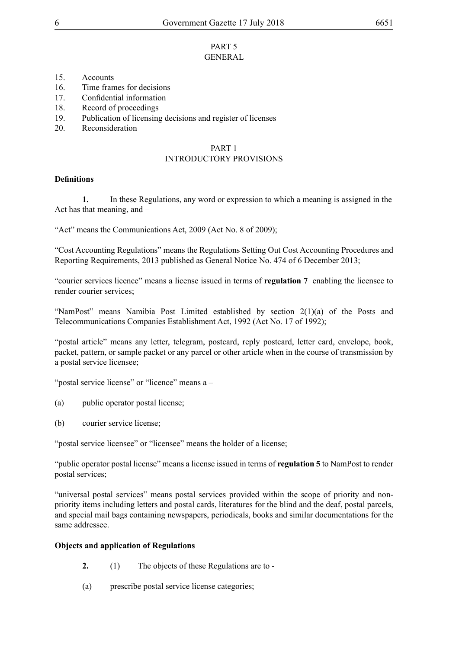#### PART 5 GENERAL

- 15. Accounts
- 16. Time frames for decisions
- 17. Confidential information
- 18. Record of proceedings
- 19. Publication of licensing decisions and register of licenses
- 20. Reconsideration

#### PART 1 INTRODUCTORY PROVISIONS

#### **Definitions**

**1.** In these Regulations, any word or expression to which a meaning is assigned in the Act has that meaning, and –

"Act" means the Communications Act, 2009 (Act No. 8 of 2009);

"Cost Accounting Regulations" means the Regulations Setting Out Cost Accounting Procedures and Reporting Requirements, 2013 published as General Notice No. 474 of 6 December 2013;

"courier services licence" means a license issued in terms of **regulation 7** enabling the licensee to render courier services;

"NamPost" means Namibia Post Limited established by section 2(1)(a) of the Posts and Telecommunications Companies Establishment Act, 1992 (Act No. 17 of 1992);

"postal article" means any letter, telegram, postcard, reply postcard, letter card, envelope, book, packet, pattern, or sample packet or any parcel or other article when in the course of transmission by a postal service licensee;

"postal service license" or "licence" means a –

- (a) public operator postal license;
- (b) courier service license;

"postal service licensee" or "licensee" means the holder of a license;

"public operator postal license" means a license issued in terms of **regulation 5** to NamPost to render postal services;

"universal postal services" means postal services provided within the scope of priority and nonpriority items including letters and postal cards, literatures for the blind and the deaf, postal parcels, and special mail bags containing newspapers, periodicals, books and similar documentations for the same addressee.

#### **Objects and application of Regulations**

- **2.** (1) The objects of these Regulations are to -
- (a) prescribe postal service license categories;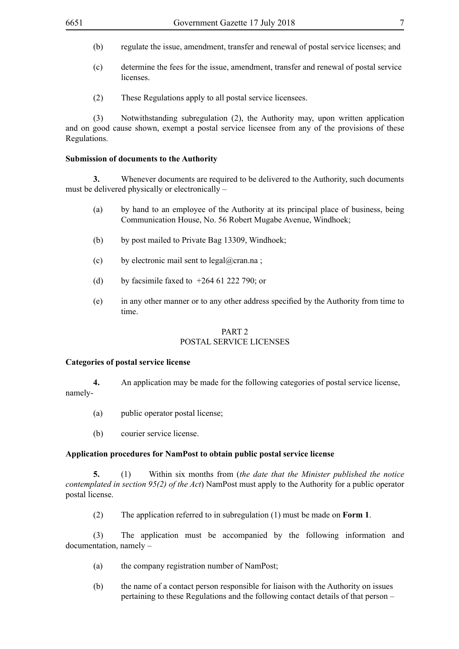- (b) regulate the issue, amendment, transfer and renewal of postal service licenses; and
- (c) determine the fees for the issue, amendment, transfer and renewal of postal service licenses.
- (2) These Regulations apply to all postal service licensees.

(3) Notwithstanding subregulation (2), the Authority may, upon written application and on good cause shown, exempt a postal service licensee from any of the provisions of these Regulations.

#### **Submission of documents to the Authority**

**3.** Whenever documents are required to be delivered to the Authority, such documents must be delivered physically or electronically –

- (a) by hand to an employee of the Authority at its principal place of business, being Communication House, No. 56 Robert Mugabe Avenue, Windhoek;
- (b) by post mailed to Private Bag 13309, Windhoek;
- (c) by electronic mail sent to legal@cran.na;
- (d) by facsimile faxed to  $+264$  61 222 790; or
- (e) in any other manner or to any other address specified by the Authority from time to time.

#### PART 2 POSTAL SERVICE LICENSES

#### **Categories of postal service license**

**4.** An application may be made for the following categories of postal service license, namely-

- (a) public operator postal license;
- (b) courier service license.

#### **Application procedures for NamPost to obtain public postal service license**

**5.** (1) Within six months from (*the date that the Minister published the notice contemplated in section 95(2) of the Act*) NamPost must apply to the Authority for a public operator postal license.

(2) The application referred to in subregulation (1) must be made on **Form 1**.

(3) The application must be accompanied by the following information and documentation, namely –

- (a) the company registration number of NamPost;
- (b) the name of a contact person responsible for liaison with the Authority on issues pertaining to these Regulations and the following contact details of that person –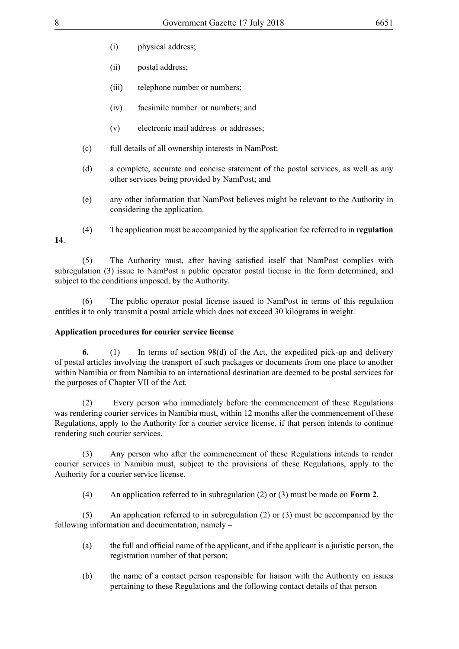- (i) physical address;
- (ii) postal address;
- (iii) telephone number or numbers;
- (iv) facsimile number or numbers; and
- (v) electronic mail address or addresses;
- (c) full details of all ownership interests in NamPost;
- (d) a complete, accurate and concise statement of the postal services, as well as any other services being provided by NamPost; and
- (e) any other information that NamPost believes might be relevant to the Authority in considering the application.
- (4) The application must be accompanied by the application fee referred to in **regulation 14**.

 (5) The Authority must, after having satisfied itself that NamPost complies with subregulation (3) issue to NamPost a public operator postal license in the form determined, and subject to the conditions imposed, by the Authority.

(6) The public operator postal license issued to NamPost in terms of this regulation entitles it to only transmit a postal article which does not exceed 30 kilograms in weight.

#### **Application procedures for courier service license**

**6.** (1) In terms of section 98(d) of the Act, the expedited pick-up and delivery of postal articles involving the transport of such packages or documents from one place to another within Namibia or from Namibia to an international destination are deemed to be postal services for the purposes of Chapter VII of the Act.

(2) Every person who immediately before the commencement of these Regulations was rendering courier services in Namibia must, within 12 months after the commencement of these Regulations, apply to the Authority for a courier service license, if that person intends to continue rendering such courier services.

(3) Any person who after the commencement of these Regulations intends to render courier services in Namibia must, subject to the provisions of these Regulations, apply to the Authority for a courier service license.

(4) An application referred to in subregulation (2) or (3) must be made on **Form 2**.

(5) An application referred to in subregulation (2) or (3) must be accompanied by the following information and documentation, namely –

- (a) the full and official name of the applicant, and if the applicant is a juristic person, the registration number of that person;
- (b) the name of a contact person responsible for liaison with the Authority on issues pertaining to these Regulations and the following contact details of that person –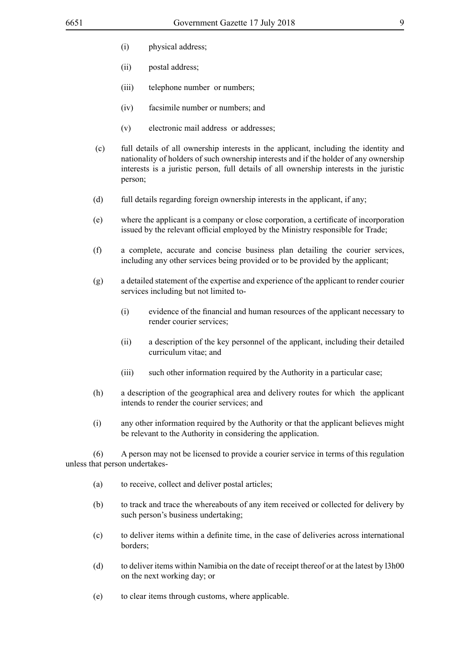- (i) physical address;
- (ii) postal address;
- (iii) telephone number or numbers;
- (iv) facsimile number or numbers; and
- (v) electronic mail address or addresses;
- (c) full details of all ownership interests in the applicant, including the identity and nationality of holders of such ownership interests and if the holder of any ownership interests is a juristic person, full details of all ownership interests in the juristic person;
- (d) full details regarding foreign ownership interests in the applicant, if any;
- (e) where the applicant is a company or close corporation, a certificate of incorporation issued by the relevant official employed by the Ministry responsible for Trade;
- (f) a complete, accurate and concise business plan detailing the courier services, including any other services being provided or to be provided by the applicant;
- (g) a detailed statement of the expertise and experience of the applicant to render courier services including but not limited to-
	- (i) evidence of the financial and human resources of the applicant necessary to render courier services;
	- (ii) a description of the key personnel of the applicant, including their detailed curriculum vitae; and
	- (iii) such other information required by the Authority in a particular case;
- (h) a description of the geographical area and delivery routes for which the applicant intends to render the courier services; and
- (i) any other information required by the Authority or that the applicant believes might be relevant to the Authority in considering the application.

(6) A person may not be licensed to provide a courier service in terms of this regulation unless that person undertakes-

- (a) to receive, collect and deliver postal articles;
- (b) to track and trace the whereabouts of any item received or collected for delivery by such person's business undertaking;
- (c) to deliver items within a definite time, in the case of deliveries across international borders;
- (d) to deliver items within Namibia on the date of receipt thereof or at the latest by l3h00 on the next working day; or
- (e) to clear items through customs, where applicable.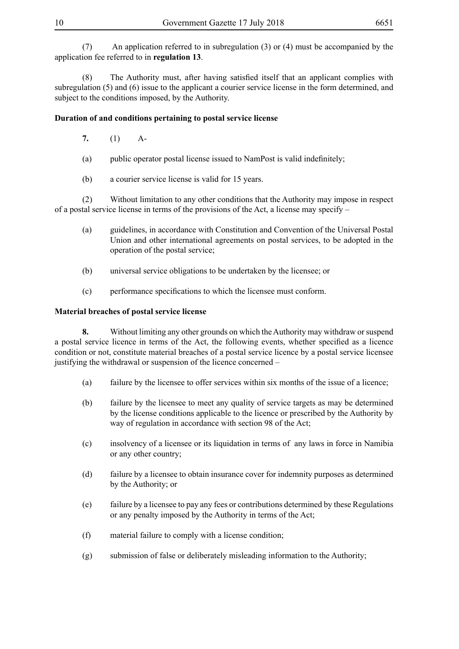(7) An application referred to in subregulation (3) or (4) must be accompanied by the application fee referred to in **regulation 13**.

 (8) The Authority must, after having satisfied itself that an applicant complies with subregulation (5) and (6) issue to the applicant a courier service license in the form determined, and subject to the conditions imposed, by the Authority.

#### **Duration of and conditions pertaining to postal service license**

- **7.** (1) A-
- (a) public operator postal license issued to NamPost is valid indefinitely;
- (b) a courier service license is valid for 15 years.

(2) Without limitation to any other conditions that the Authority may impose in respect of a postal service license in terms of the provisions of the Act, a license may specify –

- (a) guidelines, in accordance with Constitution and Convention of the Universal Postal Union and other international agreements on postal services, to be adopted in the operation of the postal service;
- (b) universal service obligations to be undertaken by the licensee; or
- (c) performance specifications to which the licensee must conform.

#### **Material breaches of postal service license**

**8.** Without limiting any other grounds on which the Authority may withdraw or suspend a postal service licence in terms of the Act, the following events, whether specified as a licence condition or not, constitute material breaches of a postal service licence by a postal service licensee justifying the withdrawal or suspension of the licence concerned –

- (a) failure by the licensee to offer services within six months of the issue of a licence;
- (b) failure by the licensee to meet any quality of service targets as may be determined by the license conditions applicable to the licence or prescribed by the Authority by way of regulation in accordance with section 98 of the Act;
- (c) insolvency of a licensee or its liquidation in terms of any laws in force in Namibia or any other country;
- (d) failure by a licensee to obtain insurance cover for indemnity purposes as determined by the Authority; or
- (e) failure by a licensee to pay any fees or contributions determined by these Regulations or any penalty imposed by the Authority in terms of the Act;
- (f) material failure to comply with a license condition;
- (g) submission of false or deliberately misleading information to the Authority;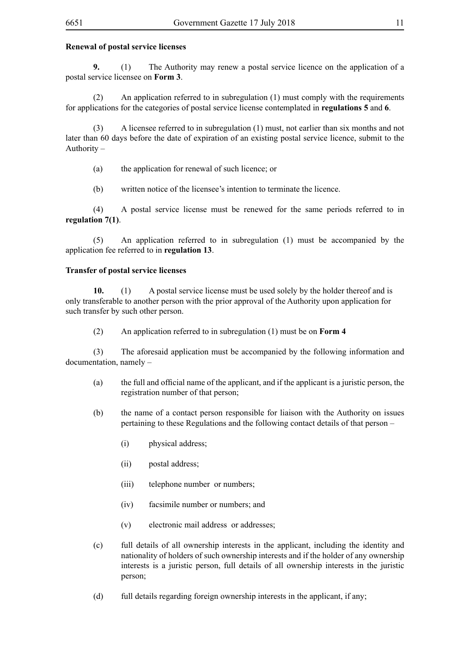#### **Renewal of postal service licenses**

**9.** (1) The Authority may renew a postal service licence on the application of a postal service licensee on **Form 3**.

(2) An application referred to in subregulation (1) must comply with the requirements for applications for the categories of postal service license contemplated in **regulations 5** and **6**.

(3) A licensee referred to in subregulation (1) must, not earlier than six months and not later than 60 days before the date of expiration of an existing postal service licence, submit to the Authority –

(a) the application for renewal of such licence; or

(b) written notice of the licensee's intention to terminate the licence.

(4) A postal service license must be renewed for the same periods referred to in **regulation 7(1)**.

(5) An application referred to in subregulation (1) must be accompanied by the application fee referred to in **regulation 13**.

#### **Transfer of postal service licenses**

**10.** (1) A postal service license must be used solely by the holder thereof and is only transferable to another person with the prior approval of the Authority upon application for such transfer by such other person.

(2) An application referred to in subregulation (1) must be on **Form 4**

(3) The aforesaid application must be accompanied by the following information and documentation, namely –

- (a) the full and official name of the applicant, and if the applicant is a juristic person, the registration number of that person;
- (b) the name of a contact person responsible for liaison with the Authority on issues pertaining to these Regulations and the following contact details of that person –
	- (i) physical address;
	- (ii) postal address;
	- (iii) telephone number or numbers;
	- (iv) facsimile number or numbers; and
	- (v) electronic mail address or addresses;
- (c) full details of all ownership interests in the applicant, including the identity and nationality of holders of such ownership interests and if the holder of any ownership interests is a juristic person, full details of all ownership interests in the juristic person;
- (d) full details regarding foreign ownership interests in the applicant, if any;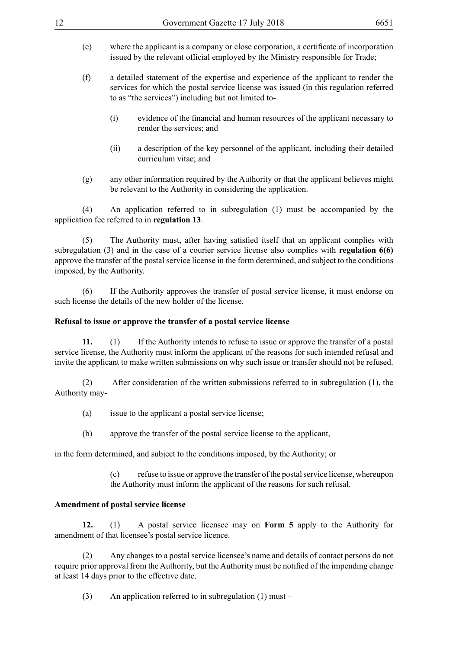- (e) where the applicant is a company or close corporation, a certificate of incorporation issued by the relevant official employed by the Ministry responsible for Trade;
- (f) a detailed statement of the expertise and experience of the applicant to render the services for which the postal service license was issued (in this regulation referred to as "the services") including but not limited to-
	- (i) evidence of the financial and human resources of the applicant necessary to render the services; and
	- (ii) a description of the key personnel of the applicant, including their detailed curriculum vitae; and
- (g) any other information required by the Authority or that the applicant believes might be relevant to the Authority in considering the application.

(4) An application referred to in subregulation (1) must be accompanied by the application fee referred to in **regulation 13**.

 (5) The Authority must, after having satisfied itself that an applicant complies with subregulation (3) and in the case of a courier service license also complies with **regulation 6(6)** approve the transfer of the postal service license in the form determined, and subject to the conditions imposed, by the Authority.

(6) If the Authority approves the transfer of postal service license, it must endorse on such license the details of the new holder of the license.

#### **Refusal to issue or approve the transfer of a postal service license**

**11.** (1) If the Authority intends to refuse to issue or approve the transfer of a postal service license, the Authority must inform the applicant of the reasons for such intended refusal and invite the applicant to make written submissions on why such issue or transfer should not be refused.

(2) After consideration of the written submissions referred to in subregulation (1), the Authority may-

- (a) issue to the applicant a postal service license;
- (b) approve the transfer of the postal service license to the applicant,

in the form determined, and subject to the conditions imposed, by the Authority; or

(c) refuse to issue or approve the transfer of the postal service license, whereupon

the Authority must inform the applicant of the reasons for such refusal.

#### **Amendment of postal service license**

**12.** (1) A postal service licensee may on **Form 5** apply to the Authority for amendment of that licensee's postal service licence.

(2) Any changes to a postal service licensee's name and details of contact persons do not require prior approval from the Authority, but the Authority must be notified of the impending change at least 14 days prior to the effective date.

(3) An application referred to in subregulation (1) must –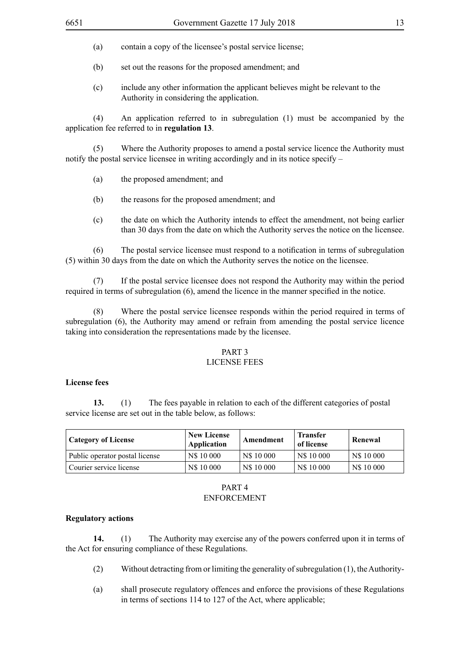- (a) contain a copy of the licensee's postal service license;
- (b) set out the reasons for the proposed amendment; and
- (c) include any other information the applicant believes might be relevant to the Authority in considering the application.

(4) An application referred to in subregulation (1) must be accompanied by the application fee referred to in **regulation 13**.

(5) Where the Authority proposes to amend a postal service licence the Authority must notify the postal service licensee in writing accordingly and in its notice specify –

- (a) the proposed amendment; and
- (b) the reasons for the proposed amendment; and
- (c) the date on which the Authority intends to effect the amendment, not being earlier than 30 days from the date on which the Authority serves the notice on the licensee.

 (6) The postal service licensee must respond to a notification in terms of subregulation (5) within 30 days from the date on which the Authority serves the notice on the licensee.

(7) If the postal service licensee does not respond the Authority may within the period required in terms of subregulation (6), amend the licence in the manner specified in the notice.

(8) Where the postal service licensee responds within the period required in terms of subregulation (6), the Authority may amend or refrain from amending the postal service licence taking into consideration the representations made by the licensee.

#### PART 3

#### LICENSE FEES

#### **License fees**

**13.** (1) The fees payable in relation to each of the different categories of postal service license are set out in the table below, as follows:

| <sup>1</sup> Category of License | <b>New License</b><br>Application | Amendment  | <b>Transfer</b><br>of license | Renewal    |  |
|----------------------------------|-----------------------------------|------------|-------------------------------|------------|--|
| Public operator postal license   | N\$ 10 000                        | N\$ 10 000 | N\$ 10 000                    | N\$ 10 000 |  |
| Courier service license          | N\$ 10 000                        | N\$ 10 000 | N\$ 10 000                    | N\$ 10 000 |  |

#### PART 4 ENFORCEMENT

#### **Regulatory actions**

**14.** (1) The Authority may exercise any of the powers conferred upon it in terms of the Act for ensuring compliance of these Regulations.

- (2) Without detracting from or limiting the generality of subregulation (1), the Authority-
- (a) shall prosecute regulatory offences and enforce the provisions of these Regulations in terms of sections 114 to 127 of the Act, where applicable;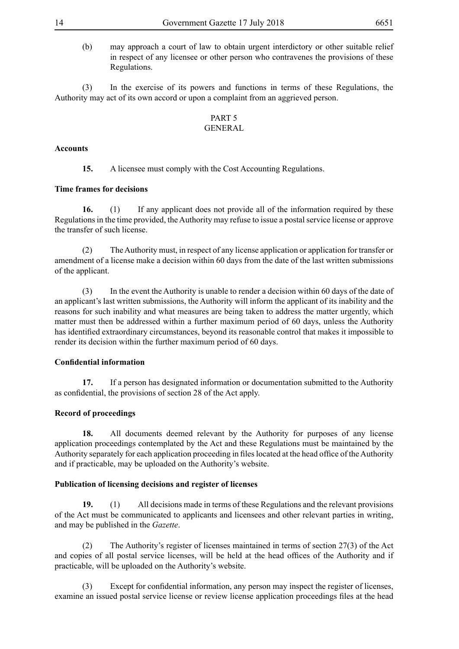(b) may approach a court of law to obtain urgent interdictory or other suitable relief in respect of any licensee or other person who contravenes the provisions of these Regulations.

(3) In the exercise of its powers and functions in terms of these Regulations, the Authority may act of its own accord or upon a complaint from an aggrieved person.

#### PART 5 GENERAL

#### **Accounts**

**15.** A licensee must comply with the Cost Accounting Regulations.

#### **Time frames for decisions**

**16.** (1) If any applicant does not provide all of the information required by these Regulations in the time provided, the Authority may refuse to issue a postal service license or approve the transfer of such license.

(2) The Authority must, in respect of any license application or application for transfer or amendment of a license make a decision within 60 days from the date of the last written submissions of the applicant.

(3) In the event the Authority is unable to render a decision within 60 days of the date of an applicant's last written submissions, the Authority will inform the applicant of its inability and the reasons for such inability and what measures are being taken to address the matter urgently, which matter must then be addressed within a further maximum period of 60 days, unless the Authority has identified extraordinary circumstances, beyond its reasonable control that makes it impossible to render its decision within the further maximum period of 60 days.

#### **Confidential information**

**17.** If a person has designated information or documentation submitted to the Authority as confidential, the provisions of section 28 of the Act apply.

#### **Record of proceedings**

**18.** All documents deemed relevant by the Authority for purposes of any license application proceedings contemplated by the Act and these Regulations must be maintained by the Authority separately for each application proceeding in files located at the head office of the Authority and if practicable, may be uploaded on the Authority's website.

#### **Publication of licensing decisions and register of licenses**

**19.** (1) All decisions made in terms of these Regulations and the relevant provisions of the Act must be communicated to applicants and licensees and other relevant parties in writing, and may be published in the *Gazette*.

(2) The Authority's register of licenses maintained in terms of section 27(3) of the Act and copies of all postal service licenses, will be held at the head offices of the Authority and if practicable, will be uploaded on the Authority's website.

 (3) Except for confidential information, any person may inspect the register of licenses, examine an issued postal service license or review license application proceedings files at the head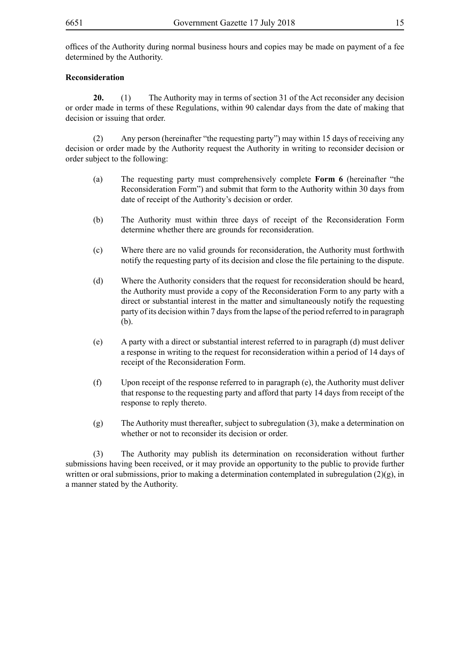offices of the Authority during normal business hours and copies may be made on payment of a fee determined by the Authority.

#### **Reconsideration**

**20.** (1) The Authority may in terms of section 31 of the Act reconsider any decision or order made in terms of these Regulations, within 90 calendar days from the date of making that decision or issuing that order.

(2) Any person (hereinafter "the requesting party") may within 15 days of receiving any decision or order made by the Authority request the Authority in writing to reconsider decision or order subject to the following:

- (a) The requesting party must comprehensively complete **Form 6** (hereinafter "the Reconsideration Form") and submit that form to the Authority within 30 days from date of receipt of the Authority's decision or order.
- (b) The Authority must within three days of receipt of the Reconsideration Form determine whether there are grounds for reconsideration.
- (c) Where there are no valid grounds for reconsideration, the Authority must forthwith notify the requesting party of its decision and close the file pertaining to the dispute.
- (d) Where the Authority considers that the request for reconsideration should be heard, the Authority must provide a copy of the Reconsideration Form to any party with a direct or substantial interest in the matter and simultaneously notify the requesting party of its decision within 7 days from the lapse of the period referred to in paragraph (b).
- (e) A party with a direct or substantial interest referred to in paragraph (d) must deliver a response in writing to the request for reconsideration within a period of 14 days of receipt of the Reconsideration Form.
- (f) Upon receipt of the response referred to in paragraph (e), the Authority must deliver that response to the requesting party and afford that party 14 days from receipt of the response to reply thereto.
- (g) The Authority must thereafter, subject to subregulation (3), make a determination on whether or not to reconsider its decision or order.

(3) The Authority may publish its determination on reconsideration without further submissions having been received, or it may provide an opportunity to the public to provide further written or oral submissions, prior to making a determination contemplated in subregulation  $(2)(g)$ , in a manner stated by the Authority.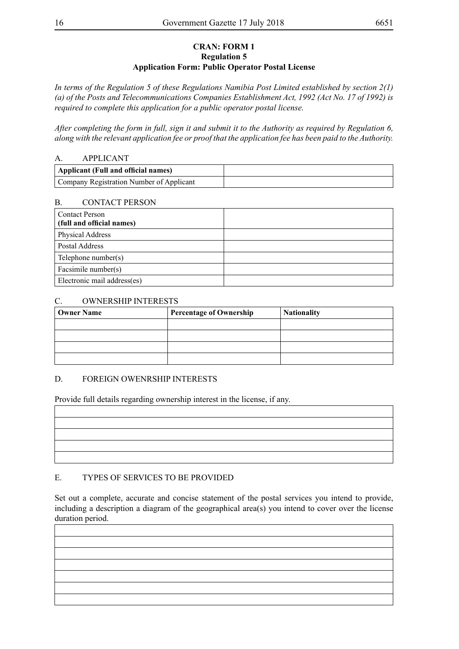#### **CRAN: FORM 1 Regulation 5 Application Form: Public Operator Postal License**

*In terms of the Regulation 5 of these Regulations Namibia Post Limited established by section 2(1) (a) of the Posts and Telecommunications Companies Establishment Act, 1992 (Act No. 17 of 1992) is required to complete this application for a public operator postal license.*

*After completing the form in full, sign it and submit it to the Authority as required by Regulation 6, along with the relevant application fee or proof that the application fee has been paid to the Authority.* 

#### A. APPLICANT

| Applicant (Full and official names)      |  |
|------------------------------------------|--|
| Company Registration Number of Applicant |  |

#### B. CONTACT PERSON

| <b>Contact Person</b><br>(full and official names) |  |
|----------------------------------------------------|--|
| Physical Address                                   |  |
| Postal Address                                     |  |
| Telephone number(s)                                |  |
| Facsimile number(s)                                |  |
| Electronic mail address(es)                        |  |

#### C. OWNERSHIP INTERESTS

| <b>Owner Name</b> | <b>Percentage of Ownership</b> | <b>Nationality</b> |
|-------------------|--------------------------------|--------------------|
|                   |                                |                    |
|                   |                                |                    |
|                   |                                |                    |
|                   |                                |                    |

#### D. FOREIGN OWENRSHIP INTERESTS

Provide full details regarding ownership interest in the license, if any.

# E. TYPES OF SERVICES TO BE PROVIDED

Set out a complete, accurate and concise statement of the postal services you intend to provide, including a description a diagram of the geographical area(s) you intend to cover over the license duration period.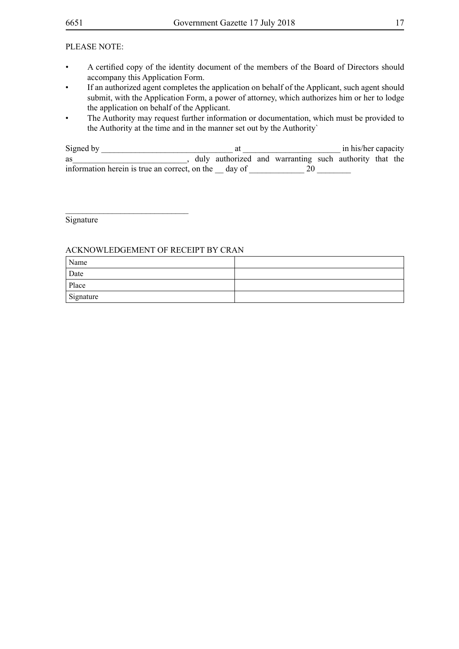#### PLEASE NOTE:

- • A certified copy of the identity document of the members of the Board of Directors should accompany this Application Form.
- If an authorized agent completes the application on behalf of the Applicant, such agent should submit, with the Application Form, a power of attorney, which authorizes him or her to lodge the application on behalf of the Applicant.
- The Authority may request further information or documentation, which must be provided to the Authority at the time and in the manner set out by the Authority`

| Signed by                                            |  |                                                        | in his/her capacity |  |
|------------------------------------------------------|--|--------------------------------------------------------|---------------------|--|
| as                                                   |  | duly authorized and warranting such authority that the |                     |  |
| information herein is true an correct, on the day of |  |                                                        |                     |  |

Signature

#### ACKNOWLEDGEMENT OF RECEIPT BY CRAN

\_\_\_\_\_\_\_\_\_\_\_\_\_\_\_\_\_\_\_\_\_\_\_\_\_\_\_\_\_

| Name      |  |
|-----------|--|
| Date      |  |
| Place     |  |
| Signature |  |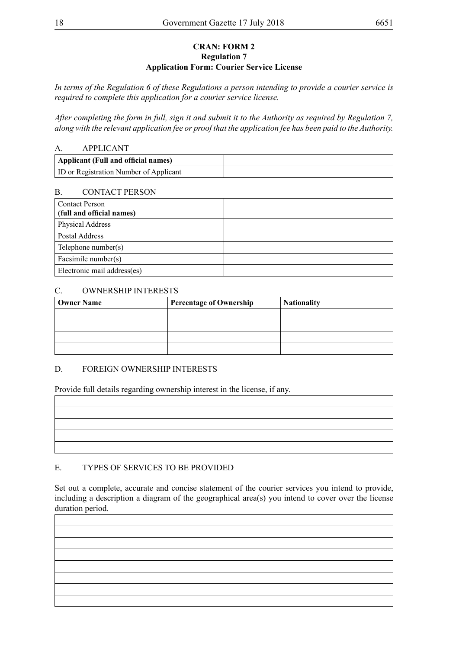#### **CRAN: FORM 2 Regulation 7 Application Form: Courier Service License**

*In terms of the Regulation 6 of these Regulations a person intending to provide a courier service is required to complete this application for a courier service license.*

*After completing the form in full, sign it and submit it to the Authority as required by Regulation 7, along with the relevant application fee or proof that the application fee has been paid to the Authority.* 

#### A. APPLICANT

| Applicant (Full and official names)           |  |
|-----------------------------------------------|--|
| <b>ID</b> or Registration Number of Applicant |  |

#### B. CONTACT PERSON

| <b>Contact Person</b><br>(full and official names) |  |
|----------------------------------------------------|--|
| Physical Address                                   |  |
| Postal Address                                     |  |
| Telephone number(s)                                |  |
| Facsimile number(s)                                |  |
| Electronic mail address(es)                        |  |

#### C. OWNERSHIP INTERESTS

| <b>Owner Name</b> | <b>Percentage of Ownership</b> | <b>Nationality</b> |
|-------------------|--------------------------------|--------------------|
|                   |                                |                    |
|                   |                                |                    |
|                   |                                |                    |
|                   |                                |                    |

#### D. FOREIGN OWNERSHIP INTERESTS

Provide full details regarding ownership interest in the license, if any.

#### E. TYPES OF SERVICES TO BE PROVIDED

Set out a complete, accurate and concise statement of the courier services you intend to provide, including a description a diagram of the geographical area(s) you intend to cover over the license duration period.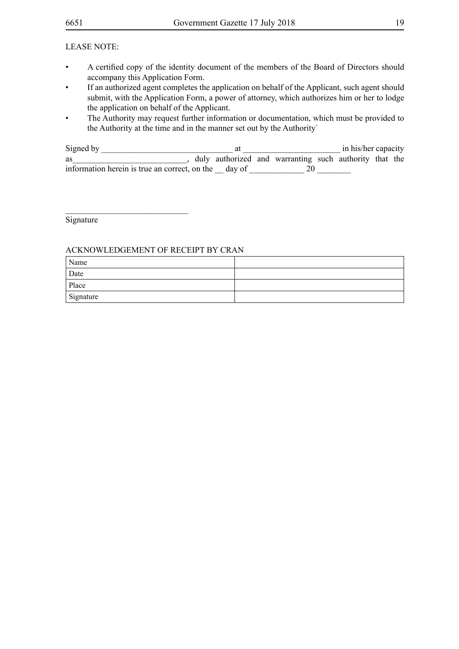#### LEASE NOTE:

- • A certified copy of the identity document of the members of the Board of Directors should accompany this Application Form.
- If an authorized agent completes the application on behalf of the Applicant, such agent should submit, with the Application Form, a power of attorney, which authorizes him or her to lodge the application on behalf of the Applicant.
- The Authority may request further information or documentation, which must be provided to the Authority at the time and in the manner set out by the Authority`

| Signed by                                            |  |                                                        | in his/her capacity |  |
|------------------------------------------------------|--|--------------------------------------------------------|---------------------|--|
| as                                                   |  | duly authorized and warranting such authority that the |                     |  |
| information herein is true an correct, on the day of |  |                                                        |                     |  |

Signature

#### ACKNOWLEDGEMENT OF RECEIPT BY CRAN

\_\_\_\_\_\_\_\_\_\_\_\_\_\_\_\_\_\_\_\_\_\_\_\_\_\_\_\_\_

| Name      |  |
|-----------|--|
| Date      |  |
| Place     |  |
| Signature |  |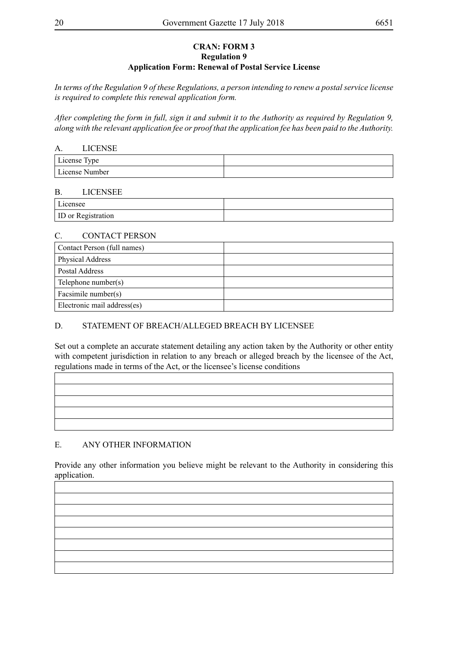#### **CRAN: FORM 3 Regulation 9 Application Form: Renewal of Postal Service License**

*In terms of the Regulation 9 of these Regulations, a person intending to renew a postal service license is required to complete this renewal application form.*

*After completing the form in full, sign it and submit it to the Authority as required by Regulation 9, along with the relevant application fee or proof that the application fee has been paid to the Authority.*

| А.             | <b>LICENSE</b> |  |
|----------------|----------------|--|
| License Type   |                |  |
| License Number |                |  |

#### B. LICENSEE

Licensee ID or Registration

#### C. CONTACT PERSON

| Contact Person (full names) |  |
|-----------------------------|--|
| Physical Address            |  |
| Postal Address              |  |
| Telephone number(s)         |  |
| Facsimile number(s)         |  |
| Electronic mail address(es) |  |

#### D. STATEMENT OF BREACH/ALLEGED BREACH BY LICENSEE

Set out a complete an accurate statement detailing any action taken by the Authority or other entity with competent jurisdiction in relation to any breach or alleged breach by the licensee of the Act, regulations made in terms of the Act, or the licensee's license conditions

#### E. ANY OTHER INFORMATION

Provide any other information you believe might be relevant to the Authority in considering this application.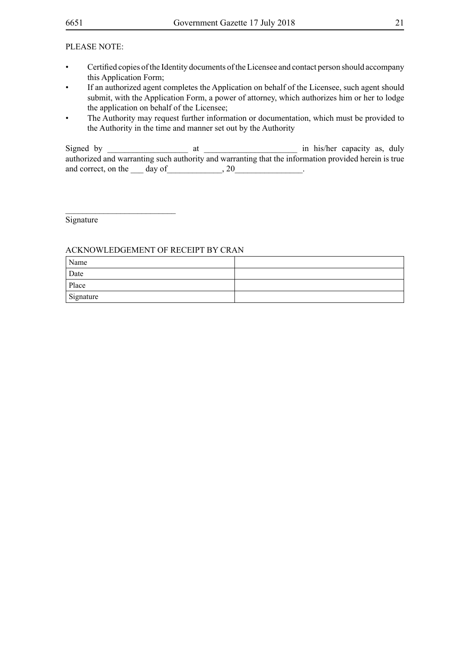#### PLEASE NOTE:

- Certified copies of the Identity documents of the Licensee and contact person should accompany this Application Form;
- If an authorized agent completes the Application on behalf of the Licensee, such agent should submit, with the Application Form, a power of attorney, which authorizes him or her to lodge the application on behalf of the Licensee;
- The Authority may request further information or documentation, which must be provided to the Authority in the time and manner set out by the Authority

Signed by \_\_\_\_\_\_\_\_\_\_\_\_\_\_\_\_\_\_\_ at \_\_\_\_\_\_\_\_\_\_\_\_\_\_\_\_\_\_\_\_\_\_ in his/her capacity as, duly authorized and warranting such authority and warranting that the information provided herein is true and correct, on the day of the  $\frac{1}{20}$ .

Signature

 $\_$ 

#### ACKNOWLEDGEMENT OF RECEIPT BY CRAN

| Name      |  |
|-----------|--|
| Date      |  |
| Place     |  |
| Signature |  |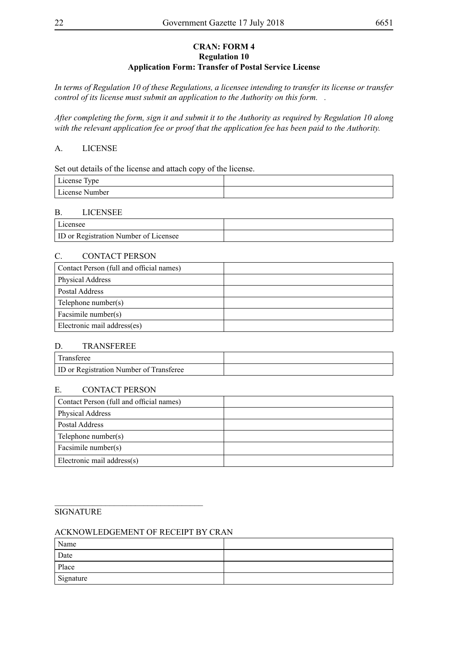#### **CRAN: FORM 4 Regulation 10 Application Form: Transfer of Postal Service License**

*In terms of Regulation 10 of these Regulations, a licensee intending to transfer its license or transfer control of its license must submit an application to the Authority on this form. .*

*After completing the form, sign it and submit it to the Authority as required by Regulation 10 along with the relevant application fee or proof that the application fee has been paid to the Authority.* 

#### A. LICENSE

Set out details of the license and attach copy of the license.

| License Type   |  |
|----------------|--|
| License Number |  |

#### B. LICENSEE

| Licensee                                     |  |
|----------------------------------------------|--|
| <b>ID</b> or Registration Number of Licensee |  |

#### C. CONTACT PERSON

| Contact Person (full and official names) |  |
|------------------------------------------|--|
| Physical Address                         |  |
| Postal Address                           |  |
| Telephone number(s)                      |  |
| Facsimile number(s)                      |  |
| Electronic mail address(es)              |  |

#### D. TRANSFEREE

| 'Transferee                                    |  |
|------------------------------------------------|--|
| <b>ID</b> or Registration Number of Transferee |  |

#### E. CONTACT PERSON

| Contact Person (full and official names) |  |
|------------------------------------------|--|
| Physical Address                         |  |
| Postal Address                           |  |
| Telephone number(s)                      |  |
| Facsimile number(s)                      |  |
| Electronic mail address(s)               |  |

#### SIGNATURE

#### ACKNOWLEDGEMENT OF RECEIPT BY CRAN

\_\_\_\_\_\_\_\_\_\_\_\_\_\_\_\_\_\_\_\_\_\_\_\_\_\_\_\_\_\_\_\_\_\_\_

| Name      |  |
|-----------|--|
| Date      |  |
| Place     |  |
| Signature |  |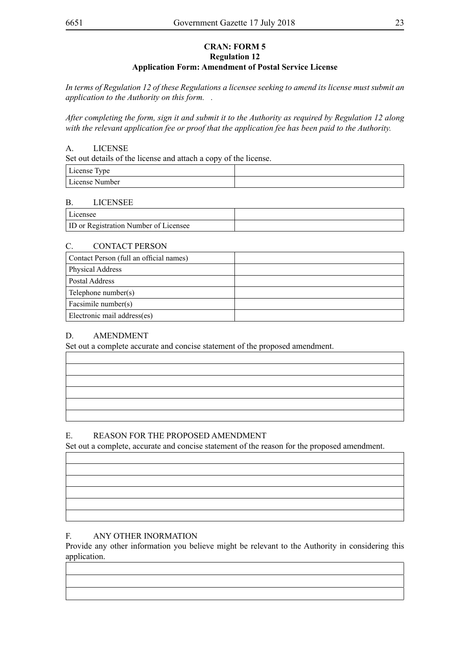#### **CRAN: FORM 5 Regulation 12 Application Form: Amendment of Postal Service License**

*In terms of Regulation 12 of these Regulations a licensee seeking to amend its license must submit an application to the Authority on this form. .*

*After completing the form, sign it and submit it to the Authority as required by Regulation 12 along with the relevant application fee or proof that the application fee has been paid to the Authority.* 

#### A. LICENSE

Set out details of the license and attach a copy of the license.

| $\mathbf{r}$ .<br>$\sim$<br>  License Type |  |
|--------------------------------------------|--|
| License Number                             |  |

#### B. LICENSEE

| Licensee                                     |  |
|----------------------------------------------|--|
| <b>ID</b> or Registration Number of Licensee |  |

#### C. CONTACT PERSON

| Contact Person (full an official names) |  |
|-----------------------------------------|--|
| <b>Physical Address</b>                 |  |
| Postal Address                          |  |
| Telephone number(s)                     |  |
| Facsimile number(s)                     |  |
| Electronic mail address(es)             |  |

#### D. AMENDMENT

Set out a complete accurate and concise statement of the proposed amendment.

#### E. REASON FOR THE PROPOSED AMENDMENT

Set out a complete, accurate and concise statement of the reason for the proposed amendment.

#### F. ANY OTHER INORMATION

Provide any other information you believe might be relevant to the Authority in considering this application.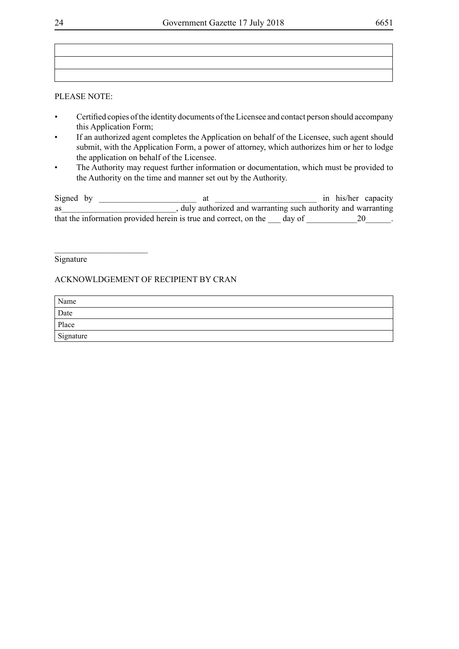#### PLEASE NOTE:

- Certified copies of the identity documents of the Licensee and contact person should accompany this Application Form;
- If an authorized agent completes the Application on behalf of the Licensee, such agent should submit, with the Application Form, a power of attorney, which authorizes him or her to lodge the application on behalf of the Licensee.
- The Authority may request further information or documentation, which must be provided to the Authority on the time and manner set out by the Authority.

| Signed by |                                                                  |        | in his/her capacity |
|-----------|------------------------------------------------------------------|--------|---------------------|
| as        | duly authorized and warranting such authority and warranting     |        |                     |
|           | that the information provided herein is true and correct, on the | day of |                     |

#### **Signature**

 $\overline{\phantom{a}}$  , where  $\overline{\phantom{a}}$  , where  $\overline{\phantom{a}}$  , where  $\overline{\phantom{a}}$ 

#### ACKNOWLDGEMENT OF RECIPIENT BY CRAN

| Name      |  |
|-----------|--|
| Date      |  |
| Place     |  |
| Signature |  |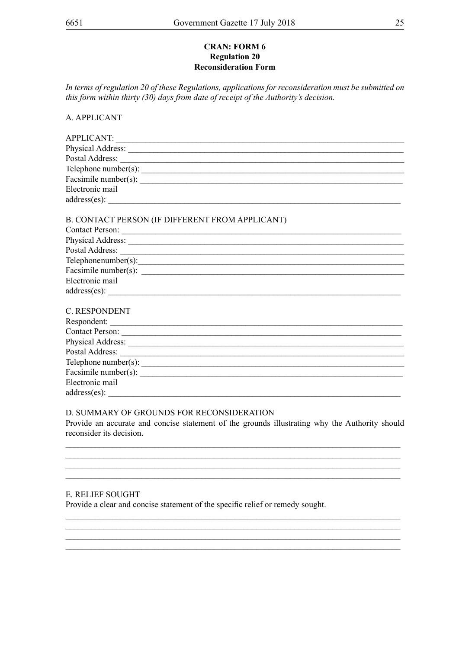#### **CRAN: FORM 6 Regulation 20 Reconsideration Form**

In terms of regulation 20 of these Regulations, applications for reconsideration must be submitted on this form within thirty (30) days from date of receipt of the Authority's decision.

A. APPLICANT

| Electronic mail                                 |
|-------------------------------------------------|
|                                                 |
| B. CONTACT PERSON (IF DIFFERENT FROM APPLICANT) |
|                                                 |
|                                                 |
| Telephonenumber(s):                             |
|                                                 |
| Electronic mail                                 |
| $address(es)$ :                                 |
| <b>C. RESPONDENT</b>                            |
| Respondent:                                     |
| $Contoot\, Daraon$                              |

| <b>Contact Person:</b> |  |
|------------------------|--|
| Physical Address:      |  |
| Postal Address:        |  |
| Telephone number(s):   |  |
| Facsimile number(s):   |  |
| Electronic mail        |  |
| $address(es)$ :        |  |

#### D. SUMMARY OF GROUNDS FOR RECONSIDERATION

Provide an accurate and concise statement of the grounds illustrating why the Authority should reconsider its decision.

#### **E. RELIEF SOUGHT**

Provide a clear and concise statement of the specific relief or remedy sought.